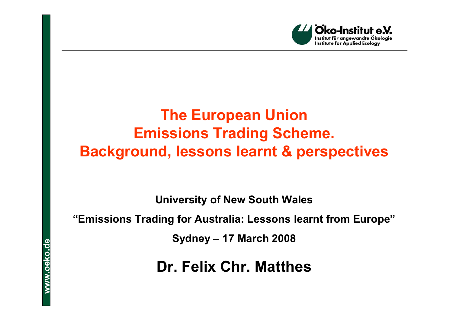

# **The European Union Emissions Trading Scheme. Background, lessons learnt & perspectives**

**University of New South Wales**

#### **"Emissions Trading for Australia: Lessons learnt from Europe"**

**Sydney – 17 March 2008**

**Dr. Felix Chr. Matthes**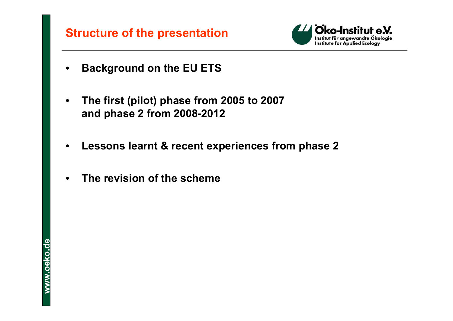

- •**Background on the EU ETS**
- • **The first (pilot) phase from 2005 to 2007 and phase 2 from 2008-2012**
- •**Lessons learnt & recent experiences from phase 2**
- •**The revision of the scheme**

**ww w o . e k o d . e**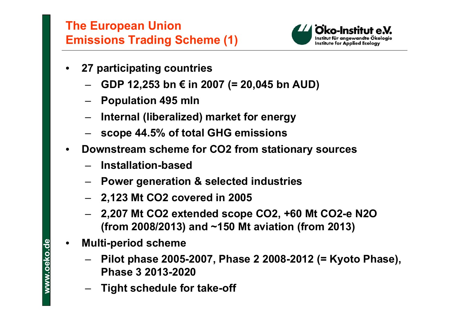

- • **27 participating countries**
	- **GDP 12,253 bn € in 2007 (= 20,045 bn AUD)**
	- **Population 495 mln**
	- **Internal (liberalized) market for energy**
	- **scope 44.5% of total GHG emissions**
- • **Downstream scheme for CO2 from stationary sources**
	- **Installation-based**
	- **Power generation & selected industries**
	- **2,123 Mt CO2 covered in 2005**
	- **2,207 Mt CO2 extended scope CO2, +60 Mt CO2-e N2O (from 2008/2013) and ~150 Mt aviation (from 2013)**
- • **Multi-period scheme**
	- **Pilot phase 2005-2007, Phase 2 2008-2012 (= Kyoto Phase), Phase 3 2013-2020**
	- **Tight schedule for take-off**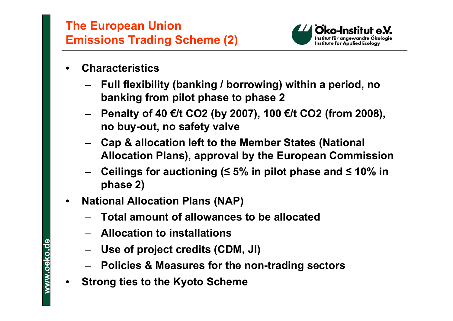

- • **Characteristics**
	- **Full flexibility (banking / borrowing) within a period, no banking from pilot phase to phase 2**
	- **Penalty of 40 €/t CO2 (by 2007), 100 €/t CO2 (from 2008), no buy-out, no safety valve**
	- **Cap & allocation left to the Member States (National Allocation Plans), approval by the European Commission**
	- **Ceilings for auctioning (≤ 5% in pilot phase and ≤ 10% in phase 2)**
- • **National Allocation Plans (NAP)**
	- **Total amount of allowances to be allocated**
	- **Allocation to installations**
	- **Use of project credits (CDM, JI)**
	- **Policies & Measures for the non-trading sectors**
- $\bullet$ **Strong ties to the Kyoto Scheme**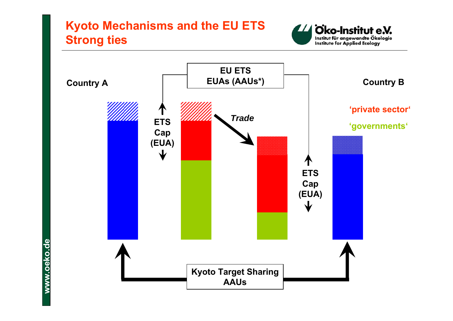# **Kyoto Mechanisms and the EU ETS Strong ties**



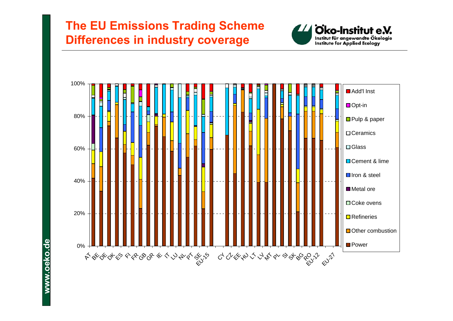#### **The EU Emissions Trading Scheme Differences in industry coverage**



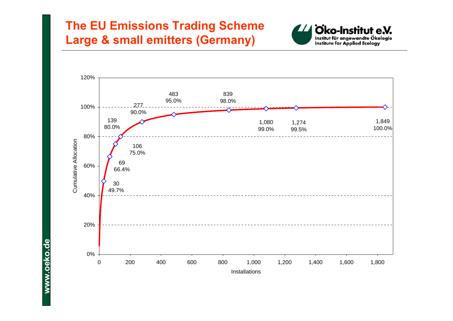## **The EU Emissions Trading Scheme Large & small emitters (Germany)**



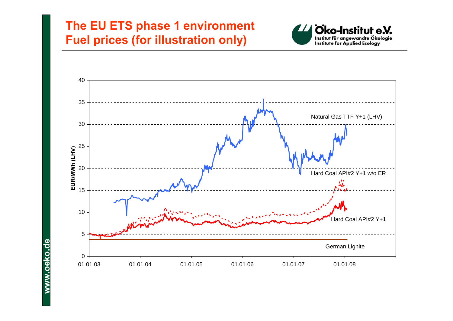#### **The EU ETS phase 1 environment Fuel prices (for illustration only)**



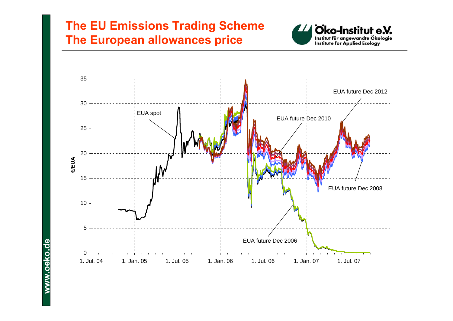#### **The EU Emissions Trading Scheme The European allowances price**



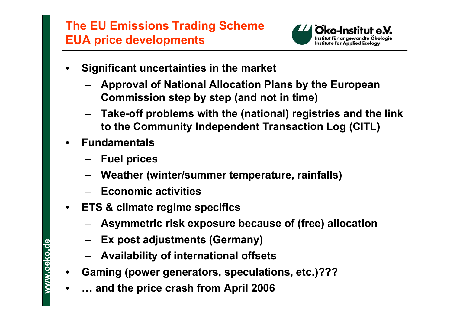# **The EU Emissions Trading Scheme EUA price developments**



- • **Significant uncertainties in the market**
	- **Approval of National Allocation Plans by the European Commission step by step (and not in time)**
	- **Take-off problems with the (national) registries and the link to the Community Independent Transaction Log (CITL)**
- • **Fundamentals**
	- **Fuel prices**
	- **Weather (winter/summer temperature, rainfalls)**
	- **Economic activities**
- $\bullet$  **ETS & climate regime specifics**
	- **Asymmetric risk exposure because of (free) allocation**
	- **Ex post adjustments (Germany)**
	- **Availability of international offsets**
- •**Gaming (power generators, speculations, etc.)???**
- •**… and the price crash from April 2006**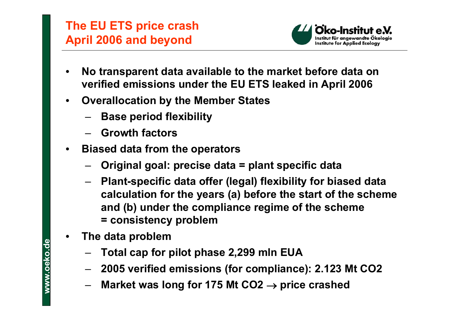# **The EU ETS price crash April 2006 and beyond**



- • **No transparent data available to the market before data on verified emissions under the EU ETS leaked in April 2006**
- • **Overallocation by the Member States**
	- **Base period flexibility**
	- **Growth factors**
- $\bullet$  **Biased data from the operators**
	- **Original goal: precise data = plant specific data**
	- **Plant-specific data offer (legal) flexibility for biased data calculation for the years (a) before the start of the scheme and (b) under the compliance regime of the scheme = consistency problem**
- • **The data problem**
	- **Total cap for pilot phase 2,299 mln EUA**
	- **2005 verified emissions (for compliance): 2.123 Mt CO2**
	- **Market was long for 175 Mt CO2** <sup>→</sup> **price crashed**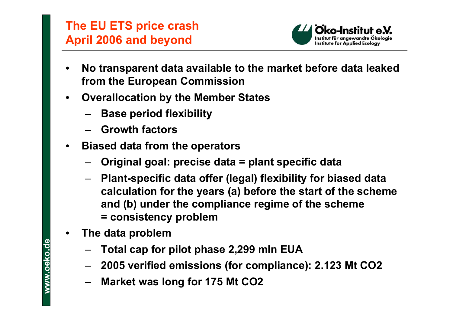# **The EU ETS price crash April 2006 and beyond**



- • **No transparent data available to the market before data leaked from the European Commission**
- • **Overallocation by the Member States**
	- **Base period flexibility**
	- **Growth factors**
- $\bullet$  **Biased data from the operators**
	- **Original goal: precise data = plant specific data**
	- **Plant-specific data offer (legal) flexibility for biased data calculation for the years (a) before the start of the scheme and (b) under the compliance regime of the scheme = consistency problem**
- • **The data problem**
	- **Total cap for pilot phase 2,299 mln EUA**
	- **2005 verified emissions (for compliance): 2.123 Mt CO2**
	- **Market was long for 175 Mt CO2**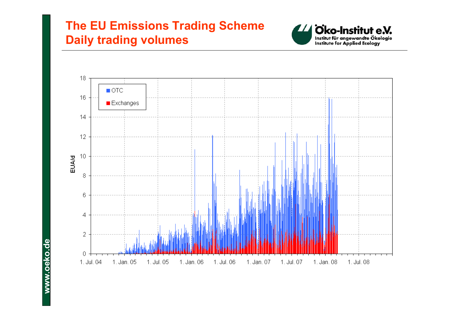## **The EU Emissions Trading Scheme Daily trading volumes**



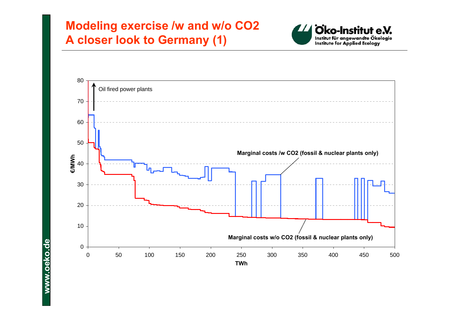#### **Modeling exercise /w and w/o CO2 A closer look to Germany (1)**



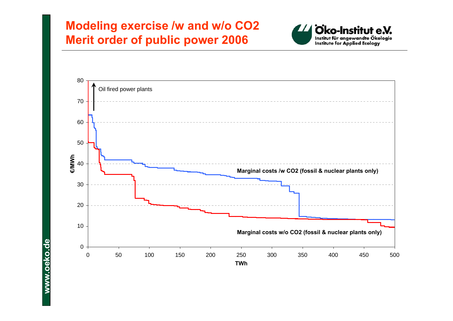#### **Modeling exercise /w and w/o CO2 Merit order of public power 2006**



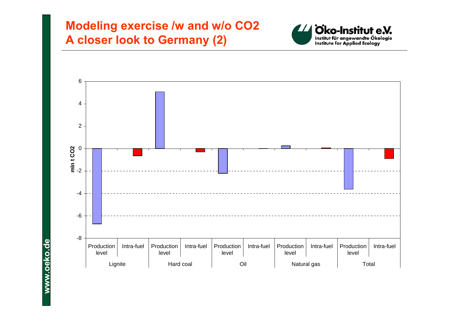#### **Modeling exercise /w and w/o CO2 A closer look to Germany (2)**



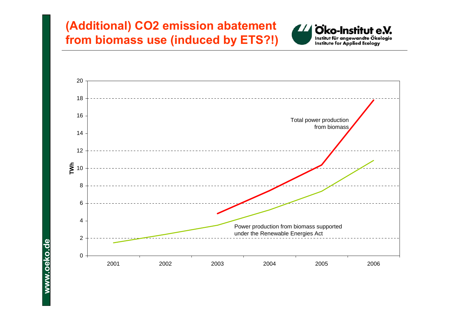## **(Additional) CO2 emission abatement from biomass use (induced by ETS?!)**



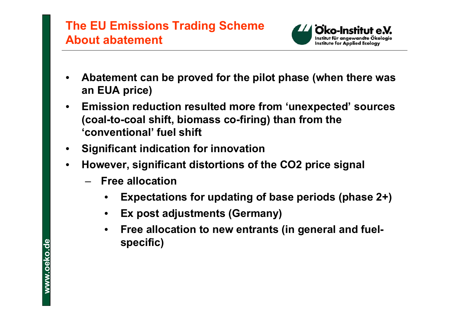## **The EU Emissions Trading Scheme About abatement**



- • **Abatement can be proved for the pilot phase (when there was an EUA price)**
- • **Emission reduction resulted more from 'unexpected' sources (coal-to-coal shift, biomass co-firing) than from the 'conventional' fuel shift**
- •**Significant indication for innovation**
- • **However, significant distortions of the CO2 price signal**
	- **Free allocation**
		- •**Expectations for updating of base periods (phase 2+)**
		- •**Ex post adjustments (Germany)**
		- • **Free allocation to new entrants (in general and fuelspecific)**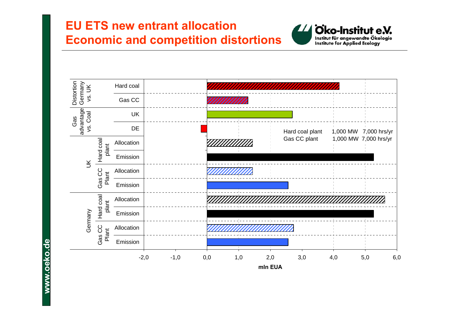## **EU ETS new entrant allocation Economic and competition distortions**





**ww w o . e k o d . e**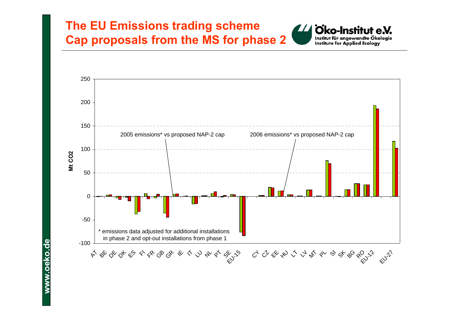#### **The EU Emissions trading scheme Cap proposals from the MS for phase 2**



Oko-Institut e.V. Institut für angewandte Ökologie **Institute for Applied Ecology** 

**ww w o . e k o d . e**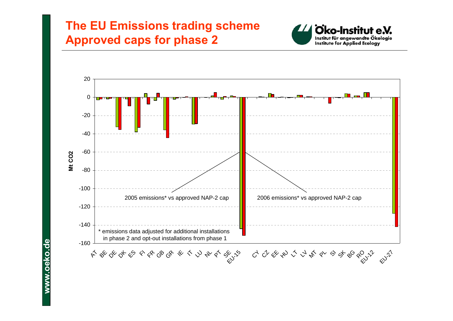#### **The EU Emissions trading scheme Approved caps for phase 2**



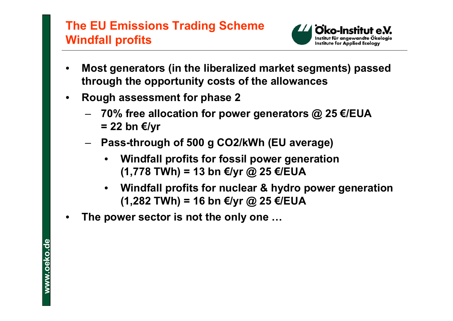#### **The EU Emissions Trading Scheme Windfall profits**



- • **Most generators (in the liberalized market segments) passed through the opportunity costs of the allowances**
- • **Rough assessment for phase 2**
	- **70% free allocation for power generators @ 25 €/EUA = 22 bn €/yr**
	- **Pass-through of 500 g CO2/kWh (EU average)**
		- • **Windfall profits for fossil power generation (1,778 TWh) = 13 bn €/yr @ 25 €/EUA**
		- $\bullet$  **Windfall profits for nuclear & hydro power generation (1,282 TWh) = 16 bn €/yr @ 25 €/EUA**
- •**The power sector is not the only one …**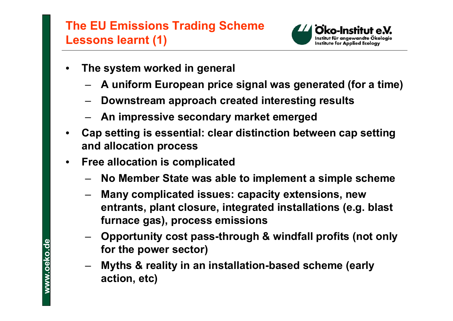# **The EU Emissions Trading Scheme Lessons learnt (1)**



- • **The system worked in general**
	- **A uniform European price signal was generated (for a time)**
	- **Downstream approach created interesting results**
	- **An impressive secondary market emerged**
- • **Cap setting is essential: clear distinction between cap setting and allocation process**
- $\bullet$  **Free allocation is complicated**
	- **No Member State was able to implement a simple scheme**
	- **Many complicated issues: capacity extensions, new entrants, plant closure, integrated installations (e.g. blast furnace gas), process emissions**
	- **Opportunity cost pass-through & windfall profits (not only for the power sector)**
	- **Myths & reality in an installation-based scheme (early action, etc)**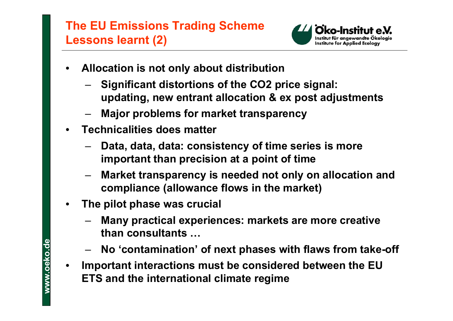# **The EU Emissions Trading Scheme Lessons learnt (2)**



- • **Allocation is not only about distribution**
	- **Significant distortions of the CO2 price signal: updating, new entrant allocation & ex post adjustments**
	- **Major problems for market transparency**
- • **Technicalities does matter**
	- **Data, data, data: consistency of time series is more important than precision at a point of time**
	- **Market transparency is needed not only on allocation and compliance (allowance flows in the market)**
- • **The pilot phase was crucial**
	- **Many practical experiences: markets are more creative than consultants …**
	- **No 'contamination' of next phases with flaws from take-off**
- $\bullet$  **Important interactions must be considered between the EU ETS and the international climate regime**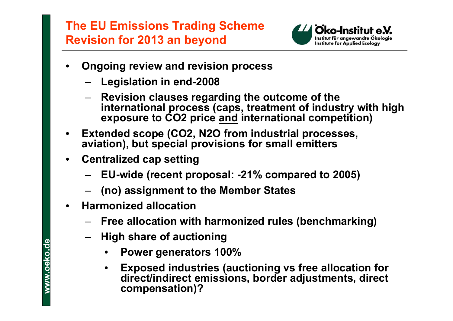# **The EU Emissions Trading Scheme Revision for 2013 an beyond**



- • **Ongoing review and revision process**
	- **Legislation in end-2008**
	- **Revision clauses regarding the outcome of the international process (caps, treatment of industry with high exposure to CO2 price and international competition)**
- • **Extended scope (CO2, N2O from industrial processes, aviation), but special provisions for small emitters**
- • **Centralized cap setting**
	- **EU-wide (recent proposal: -21% compared to 2005)**
	- **(no) assignment to the Member States**
- $\bullet$  **Harmonized allocation**
	- **Free allocation with harmonized rules (benchmarking)**
	- **High share of auctioning**
		- •**Power generators 100%**
		- • **Exposed industries (auctioning vs free allocation for direct/indirect emissions, border adjustments, direct compensation)?**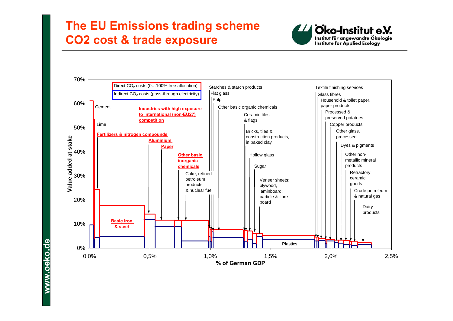#### **The EU Emissions trading scheme CO2 cost & trade exposure**